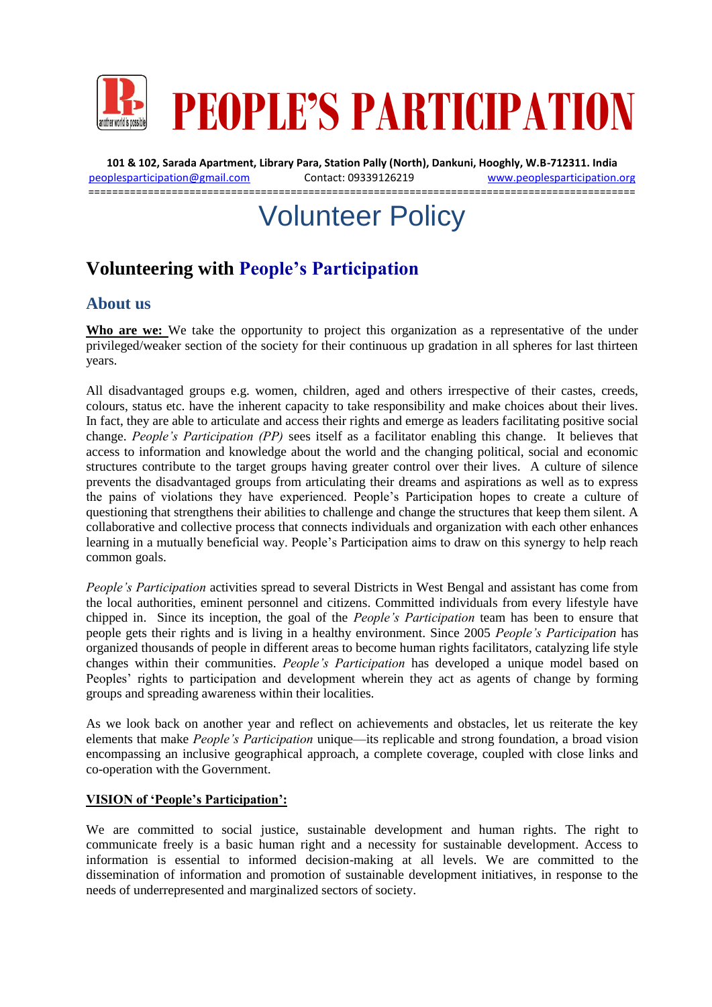

**101 & 102, Sarada Apartment, Library Para, Station Pally (North), Dankuni, Hooghly, W.B-712311. India** [peoplesparticipation@gmail.com](mailto:peoplesparticipation@gmail.com) Contact: 09339126219 [www.peoplesparticipation.org](http://www.peoplesparticipation.org/) ============================================================================================

# Volunteer Policy

# **Volunteering with People's Participation**

# **About us**

**Who are we:** We take the opportunity to project this organization as a representative of the under privileged/weaker section of the society for their continuous up gradation in all spheres for last thirteen years.

All disadvantaged groups e.g. women, children, aged and others irrespective of their castes, creeds, colours, status etc. have the inherent capacity to take responsibility and make choices about their lives. In fact, they are able to articulate and access their rights and emerge as leaders facilitating positive social change. *People's Participation (PP)* sees itself as a facilitator enabling this change. It believes that access to information and knowledge about the world and the changing political, social and economic structures contribute to the target groups having greater control over their lives. A culture of silence prevents the disadvantaged groups from articulating their dreams and aspirations as well as to express the pains of violations they have experienced. People's Participation hopes to create a culture of questioning that strengthens their abilities to challenge and change the structures that keep them silent. A collaborative and collective process that connects individuals and organization with each other enhances learning in a mutually beneficial way. People's Participation aims to draw on this synergy to help reach common goals.

*People's Participation* activities spread to several Districts in West Bengal and assistant has come from the local authorities, eminent personnel and citizens. Committed individuals from every lifestyle have chipped in. Since its inception, the goal of the *People's Participation* team has been to ensure that people gets their rights and is living in a healthy environment. Since 2005 *People's Participation* has organized thousands of people in different areas to become human rights facilitators, catalyzing life style changes within their communities. *People's Participation* has developed a unique model based on Peoples' rights to participation and development wherein they act as agents of change by forming groups and spreading awareness within their localities.

As we look back on another year and reflect on achievements and obstacles, let us reiterate the key elements that make *People's Participation* unique—its replicable and strong foundation, a broad vision encompassing an inclusive geographical approach, a complete coverage, coupled with close links and co-operation with the Government.

#### **VISION of 'People's Participation':**

We are committed to social justice, sustainable development and human rights. The right to communicate freely is a basic human right and a necessity for sustainable development. Access to information is essential to informed decision-making at all levels. We are committed to the dissemination of information and promotion of sustainable development initiatives, in response to the needs of underrepresented and marginalized sectors of society.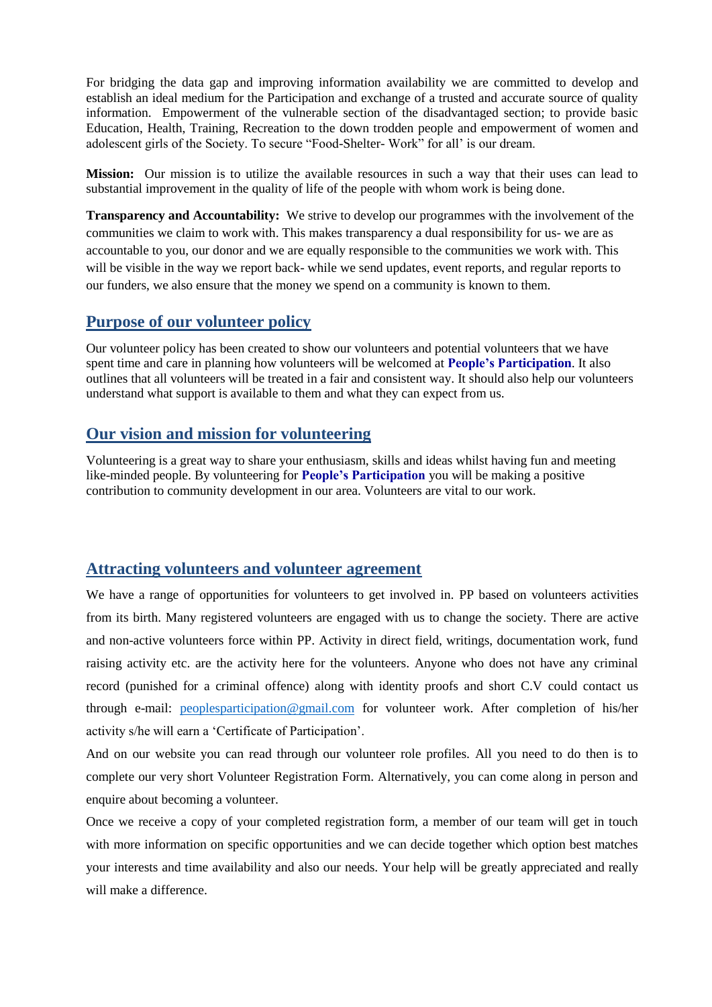For bridging the data gap and improving information availability we are committed to develop and establish an ideal medium for the Participation and exchange of a trusted and accurate source of quality information. Empowerment of the vulnerable section of the disadvantaged section; to provide basic Education, Health, Training, Recreation to the down trodden people and empowerment of women and adolescent girls of the Society. To secure "Food-Shelter- Work" for all' is our dream.

**Mission:** Our mission is to utilize the available resources in such a way that their uses can lead to substantial improvement in the quality of life of the people with whom work is being done.

**Transparency and Accountability:** We strive to develop our programmes with the involvement of the communities we claim to work with. This makes transparency a dual responsibility for us- we are as accountable to you, our donor and we are equally responsible to the communities we work with. This will be visible in the way we report back- while we send updates, event reports, and regular reports to our funders, we also ensure that the money we spend on a community is known to them.

#### **Purpose of our volunteer policy**

Our volunteer policy has been created to show our volunteers and potential volunteers that we have spent time and care in planning how volunteers will be welcomed at **People's Participation**. It also outlines that all volunteers will be treated in a fair and consistent way. It should also help our volunteers understand what support is available to them and what they can expect from us.

# **Our vision and mission for volunteering**

Volunteering is a great way to share your enthusiasm, skills and ideas whilst having fun and meeting like-minded people. By volunteering for **People's Participation** you will be making a positive contribution to community development in our area. Volunteers are vital to our work.

# **Attracting volunteers and volunteer agreement**

We have a range of opportunities for volunteers to get involved in. PP based on volunteers activities from its birth. Many registered volunteers are engaged with us to change the society. There are active and non-active volunteers force within PP. Activity in direct field, writings, documentation work, fund raising activity etc. are the activity here for the volunteers. Anyone who does not have any criminal record (punished for a criminal offence) along with identity proofs and short C.V could contact us through e-mail: [peoplesparticipation@gmail.com](mailto:peoplesparticipation@gmail.com) for volunteer work. After completion of his/her activity s/he will earn a 'Certificate of Participation'.

And on our website you can read through our volunteer role profiles. All you need to do then is to complete our very short Volunteer Registration Form. Alternatively, you can come along in person and enquire about becoming a volunteer.

Once we receive a copy of your completed registration form, a member of our team will get in touch with more information on specific opportunities and we can decide together which option best matches your interests and time availability and also our needs. Your help will be greatly appreciated and really will make a difference.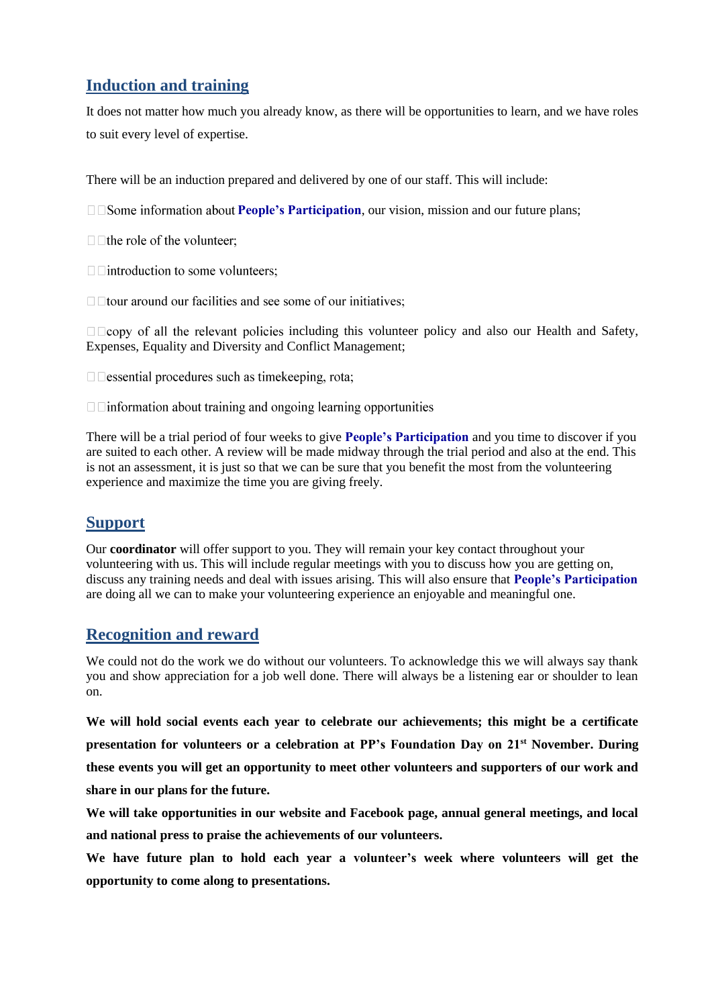# **Induction and training**

It does not matter how much you already know, as there will be opportunities to learn, and we have roles to suit every level of expertise.

There will be an induction prepared and delivered by one of our staff. This will include:

**PEOPIE:** Participation, our vision, mission and our future plans; **Participation**, our vision, mission and our future plans;

 $\Box$  the role of the volunteer;

 $\Box$  introduction to some volunteers;

 $\Box$  tour around our facilities and see some of our initiatives:

including this volunteer policy and also our Health and Safety, Expenses, Equality and Diversity and Conflict Management;

 $\Box$   $\Box$  essential procedures such as time keeping, rota;

 $\Box$  information about training and ongoing learning opportunities

There will be a trial period of four weeks to give **People's Participation** and you time to discover if you are suited to each other. A review will be made midway through the trial period and also at the end. This is not an assessment, it is just so that we can be sure that you benefit the most from the volunteering experience and maximize the time you are giving freely.

# **Support**

Our **coordinator** will offer support to you. They will remain your key contact throughout your volunteering with us. This will include regular meetings with you to discuss how you are getting on, discuss any training needs and deal with issues arising. This will also ensure that **People's Participation**  are doing all we can to make your volunteering experience an enjoyable and meaningful one.

# **Recognition and reward**

We could not do the work we do without our volunteers. To acknowledge this we will always say thank you and show appreciation for a job well done. There will always be a listening ear or shoulder to lean on.

**We will hold social events each year to celebrate our achievements; this might be a certificate presentation for volunteers or a celebration at PP's Foundation Day on 21st November. During these events you will get an opportunity to meet other volunteers and supporters of our work and share in our plans for the future.** 

**We will take opportunities in our website and Facebook page, annual general meetings, and local and national press to praise the achievements of our volunteers.**

**We have future plan to hold each year a volunteer's week where volunteers will get the opportunity to come along to presentations.**